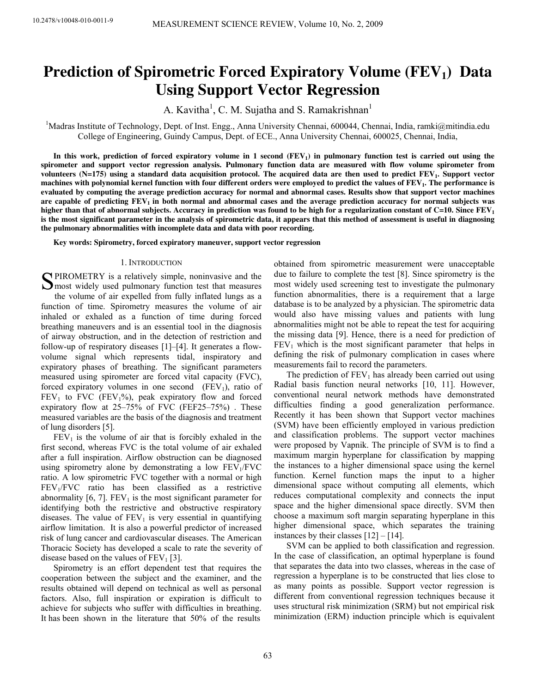# **Prediction of Spirometric Forced Expiratory Volume (FEV1) Data Using Support Vector Regression**

A. Kavitha<sup>1</sup>, C. M. Sujatha and S. Ramakrishnan<sup>1</sup>

<sup>1</sup>Madras Institute of Technology, Dept. of Inst. Engg., Anna University Chennai, 600044, Chennai, India, ramki@mitindia.edu College of Engineering, Guindy Campus, Dept. of ECE., Anna University Chennai, 600025, Chennai, India,

**In this work, prediction of forced expiratory volume in 1 second (FEV1) in pulmonary function test is carried out using the spirometer and support vector regression analysis. Pulmonary function data are measured with flow volume spirometer from volunteers (N=175) using a standard data acquisition protocol. The acquired data are then used to predict FEV1. Support vector machines with polynomial kernel function with four different orders were employed to predict the values of FEV1. The performance is evaluated by computing the average prediction accuracy for normal and abnormal cases. Results show that support vector machines are capable of predicting FEV1 in both normal and abnormal cases and the average prediction accuracy for normal subjects was higher than that of abnormal subjects. Accuracy in prediction was found to be high for a regularization constant of C=10. Since FEV<sup>1</sup> is the most significant parameter in the analysis of spirometric data, it appears that this method of assessment is useful in diagnosing the pulmonary abnormalities with incomplete data and data with poor recording.** 

**Key words: Spirometry, forced expiratory maneuver, support vector regression**

### 1. INTRODUCTION

**S**PIROMETRY is a relatively simple, noninvasive and the most widely used pulmonary function test that measures  $\sum$  most widely used pulmonary function test that measures the volume of air expelled from fully inflated lungs as a function of time. Spirometry measures the volume of air inhaled or exhaled as a function of time during forced breathing maneuvers and is an essential tool in the diagnosis of airway obstruction, and in the detection of restriction and follow-up of respiratory diseases [1]–[4]. It generates a flowvolume signal which represents tidal, inspiratory and expiratory phases of breathing. The significant parameters measured using spirometer are forced vital capacity (FVC), forced expiratory volumes in one second  $(FEV_1)$ , ratio of  $FEV<sub>1</sub>$  to FVC (FEV<sub>1</sub>%), peak expiratory flow and forced expiratory flow at 25–75% of FVC (FEF25–75%) . These measured variables are the basis of the diagnosis and treatment of lung disorders [5].

 $FEV<sub>1</sub>$  is the volume of air that is forcibly exhaled in the first second, whereas FVC is the total volume of air exhaled after a full inspiration. Airflow obstruction can be diagnosed using spirometry alone by demonstrating a low  $FEV<sub>1</sub>/FVC$ ratio. A low spirometric FVC together with a normal or high FEV1/FVC ratio has been classified as a restrictive abnormality  $[6, 7]$ . FEV<sub>1</sub> is the most significant parameter for identifying both the restrictive and obstructive respiratory diseases. The value of  $FEV<sub>1</sub>$  is very essential in quantifying airflow limitation. It is also a powerful predictor of increased risk of lung cancer and cardiovascular diseases. The American Thoracic Society has developed a scale to rate the severity of disease based on the values of  $FEV<sub>1</sub>$  [3].

Spirometry is an effort dependent test that requires the cooperation between the subject and the examiner, and the results obtained will depend on technical as well as personal factors. Also, full inspiration or expiration is difficult to achieve for subjects who suffer with difficulties in breathing. It has been shown in the literature that 50% of the results

obtained from spirometric measurement were unacceptable due to failure to complete the test [8]. Since spirometry is the most widely used screening test to investigate the pulmonary function abnormalities, there is a requirement that a large database is to be analyzed by a physician. The spirometric data would also have missing values and patients with lung abnormalities might not be able to repeat the test for acquiring the missing data [9]. Hence, there is a need for prediction of  $FEV<sub>1</sub>$  which is the most significant parameter that helps in defining the risk of pulmonary complication in cases where measurements fail to record the parameters.

The prediction of  $FEV<sub>1</sub>$  has already been carried out using Radial basis function neural networks [10, 11]. However, conventional neural network methods have demonstrated difficulties finding a good generalization performance. Recently it has been shown that Support vector machines (SVM) have been efficiently employed in various prediction and classification problems. The support vector machines were proposed by Vapnik. The principle of SVM is to find a maximum margin hyperplane for classification by mapping the instances to a higher dimensional space using the kernel function. Kernel function maps the input to a higher dimensional space without computing all elements, which reduces computational complexity and connects the input space and the higher dimensional space directly. SVM then choose a maximum soft margin separating hyperplane in this higher dimensional space, which separates the training instances by their classes [12] – [14].

SVM can be applied to both classification and regression. In the case of classification, an optimal hyperplane is found that separates the data into two classes, whereas in the case of regression a hyperplane is to be constructed that lies close to as many points as possible. Support vector regression is different from conventional regression techniques because it uses structural risk minimization (SRM) but not empirical risk minimization (ERM) induction principle which is equivalent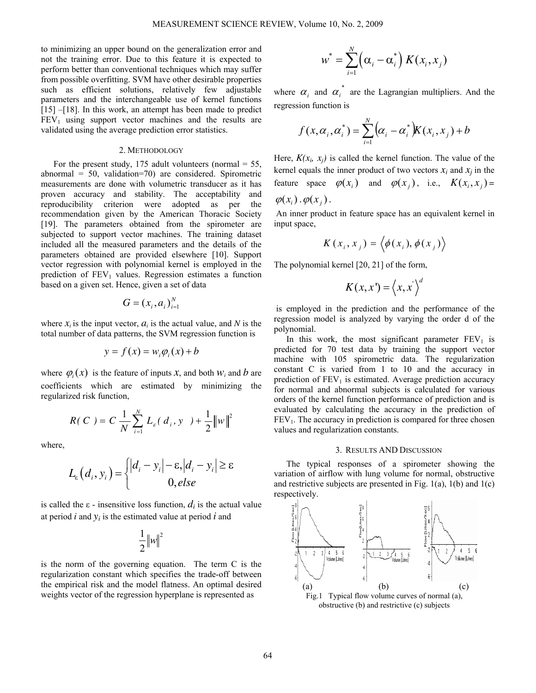to minimizing an upper bound on the generalization error and not the training error. Due to this feature it is expected to perform better than conventional techniques which may suffer from possible overfitting. SVM have other desirable properties such as efficient solutions, relatively few adjustable parameters and the interchangeable use of kernel functions [15] –[18]. In this work, an attempt has been made to predict  $FEV<sub>1</sub>$  using support vector machines and the results are validated using the average prediction error statistics.

## 2. METHODOLOGY

For the present study, 175 adult volunteers (normal  $=$  55, abnormal = 50, validation=70) are considered. Spirometric measurements are done with volumetric transducer as it has proven accuracy and stability. The acceptability and reproducibility criterion were adopted as per the recommendation given by the American Thoracic Society [19]. The parameters obtained from the spirometer are subjected to support vector machines. The training dataset included all the measured parameters and the details of the parameters obtained are provided elsewhere [10]. Support vector regression with polynomial kernel is employed in the prediction of  $FEV<sub>1</sub>$  values. Regression estimates a function based on a given set. Hence, given a set of data

$$
G=(x_i,a_i)_{i=1}^N
$$

where  $x_i$  is the input vector,  $a_i$  is the actual value, and  $N$  is the total number of data patterns, the SVM regression function is

$$
y = f(x) = w_i \varphi_i(x) + b
$$

where  $\varphi_i(x)$  is the feature of inputs *x*, and both  $w_i$  and *b* are coefficients which are estimated by minimizing the regularized risk function,

$$
R(C) = C \frac{1}{N} \sum_{i=1}^{N} L_{\varepsilon}(d_i, y) + \frac{1}{2} ||w||^2
$$

where,

$$
L_{\varepsilon}\left(d_{i}, y_{i}\right) = \begin{cases} |d_{i} - y_{i}| - \varepsilon, |d_{i} - y_{i}| \geq \varepsilon\\ 0, else \end{cases}
$$

is called the  $\varepsilon$  - insensitive loss function,  $d_i$  is the actual value at period  $i$  and  $y_i$  is the estimated value at period  $i$  and

$$
\frac{1}{2}||w||^2
$$

is the norm of the governing equation. The term C is the regularization constant which specifies the trade-off between the empirical risk and the model flatness. An optimal desired weights vector of the regression hyperplane is represented as

$$
w^* = \sum_{i=1}^N (\alpha_i - \alpha_i^*) K(x_i, x_j)
$$

where  $\alpha_i$  and  $\alpha_i^*$  are the Lagrangian multipliers. And the regression function is

$$
f(x, \alpha_i, \alpha_i^*) = \sum_{i=1}^N (\alpha_i - \alpha_i^*) K(x_i, x_j) + b
$$

Here,  $K(x_i, x_j)$  is called the kernel function. The value of the kernel equals the inner product of two vectors  $x_i$  and  $x_j$  in the feature space  $\varphi(x_i)$  and  $\varphi(x_j)$ , i.e.,  $K(x_i, x_j)$ 

 $\varphi(x_i) \cdot \varphi(x_i)$ .

An inner product in feature space has an equivalent kernel in input space,

$$
K(x_i, x_j) = \langle \phi(x_i), \phi(x_j) \rangle
$$

The polynomial kernel [20, 21] of the form,

$$
K(x,x') = \langle x,x' \rangle^d
$$

 is employed in the prediction and the performance of the regression model is analyzed by varying the order d of the polynomial.

In this work, the most significant parameter  $FEV<sub>1</sub>$  is predicted for 70 test data by training the support vector machine with 105 spirometric data. The regularization constant C is varied from 1 to 10 and the accuracy in prediction of  $FEV<sub>1</sub>$  is estimated. Average prediction accuracy for normal and abnormal subjects is calculated for various orders of the kernel function performance of prediction and is evaluated by calculating the accuracy in the prediction of  $FEV<sub>1</sub>$ . The accuracy in prediction is compared for three chosen values and regularization constants.

#### 3. RESULTS AND DISCUSSION

The typical responses of a spirometer showing the variation of airflow with lung volume for normal, obstructive and restrictive subjects are presented in Fig.  $1(a)$ ,  $1(b)$  and  $1(c)$ respectively.



obstructive (b) and restrictive (c) subjects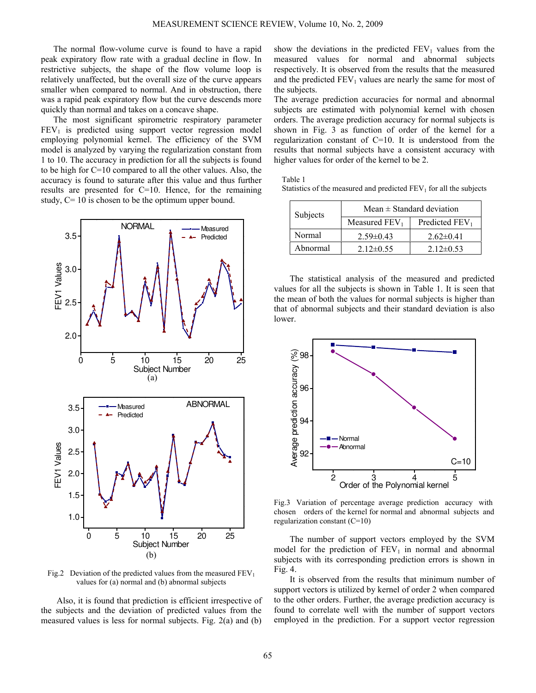The normal flow-volume curve is found to have a rapid peak expiratory flow rate with a gradual decline in flow. In restrictive subjects, the shape of the flow volume loop is relatively unaffected, but the overall size of the curve appears smaller when compared to normal. And in obstruction, there was a rapid peak expiratory flow but the curve descends more quickly than normal and takes on a concave shape.

The most significant spirometric respiratory parameter  $FEV<sub>1</sub>$  is predicted using support vector regression model employing polynomial kernel. The efficiency of the SVM model is analyzed by varying the regularization constant from 1 to 10. The accuracy in prediction for all the subjects is found to be high for C=10 compared to all the other values. Also, the accuracy is found to saturate after this value and thus further results are presented for C=10. Hence, for the remaining study,  $C = 10$  is chosen to be the optimum upper bound.



Fig.2 Deviation of the predicted values from the measured  $FEV<sub>1</sub>$ values for (a) normal and (b) abnormal subjects

Also, it is found that prediction is efficient irrespective of the subjects and the deviation of predicted values from the measured values is less for normal subjects. Fig. 2(a) and (b) show the deviations in the predicted  $FEV<sub>1</sub>$  values from the measured values for normal and abnormal subjects respectively. It is observed from the results that the measured and the predicted  $FEV<sub>1</sub>$  values are nearly the same for most of the subjects.

The average prediction accuracies for normal and abnormal subjects are estimated with polynomial kernel with chosen orders. The average prediction accuracy for normal subjects is shown in Fig. 3 as function of order of the kernel for a regularization constant of C=10. It is understood from the results that normal subjects have a consistent accuracy with higher values for order of the kernel to be 2.

Table 1

Statistics of the measured and predicted  $FEV<sub>1</sub>$  for all the subjects

| Subjects | Mean $\pm$ Standard deviation |                  |
|----------|-------------------------------|------------------|
|          | Measured $FEV1$               | Predicted $FEV1$ |
| Normal   | $2.59\pm0.43$                 | $2.62\pm0.41$    |
| Abnormal | $2.12\pm 0.55$                | $2.12\pm0.53$    |

The statistical analysis of the measured and predicted values for all the subjects is shown in Table 1. It is seen that the mean of both the values for normal subjects is higher than that of abnormal subjects and their standard deviation is also lower.



Fig.3 Variation of percentage average prediction accuracy with chosen orders of the kernel for normal and abnormal subjects and regularization constant (C=10)

The number of support vectors employed by the SVM model for the prediction of  $FEV<sub>1</sub>$  in normal and abnormal subjects with its corresponding prediction errors is shown in Fig. 4.

It is observed from the results that minimum number of support vectors is utilized by kernel of order 2 when compared to the other orders. Further, the average prediction accuracy is found to correlate well with the number of support vectors employed in the prediction. For a support vector regression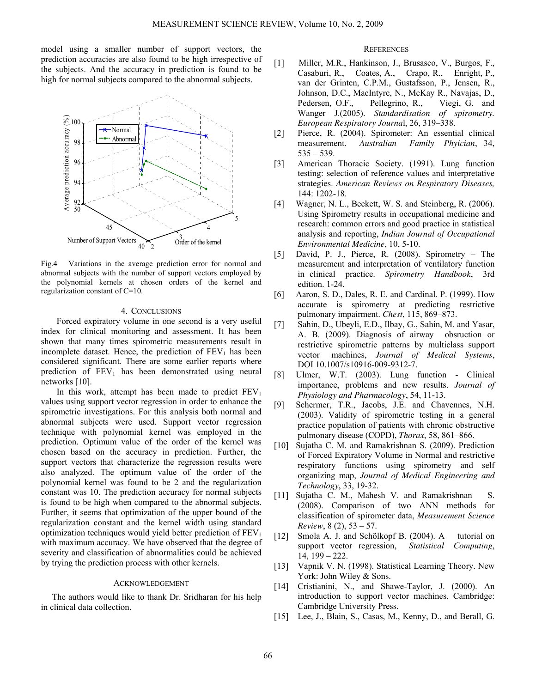model using a smaller number of support vectors, the prediction accuracies are also found to be high irrespective of the subjects. And the accuracy in prediction is found to be high for normal subjects compared to the abnormal subjects.



Fig.4 Variations in the average prediction error for normal and abnormal subjects with the number of support vectors employed by the polynomial kernels at chosen orders of the kernel and regularization constant of C=10.

## 4. CONCLUSIONS

Forced expiratory volume in one second is a very useful index for clinical monitoring and assessment. It has been shown that many times spirometric measurements result in incomplete dataset. Hence, the prediction of  $FEV<sub>1</sub>$  has been considered significant. There are some earlier reports where prediction of  $FEV_1$  has been demonstrated using neural networks [10].

In this work, attempt has been made to predict  $FEV<sub>1</sub>$ values using support vector regression in order to enhance the spirometric investigations. For this analysis both normal and abnormal subjects were used. Support vector regression technique with polynomial kernel was employed in the prediction. Optimum value of the order of the kernel was chosen based on the accuracy in prediction. Further, the support vectors that characterize the regression results were also analyzed. The optimum value of the order of the polynomial kernel was found to be 2 and the regularization constant was 10. The prediction accuracy for normal subjects is found to be high when compared to the abnormal subjects. Further, it seems that optimization of the upper bound of the regularization constant and the kernel width using standard optimization techniques would yield better prediction of  $FEV<sub>1</sub>$ with maximum accuracy. We have observed that the degree of severity and classification of abnormalities could be achieved by trying the prediction process with other kernels.

# ACKNOWLEDGEMENT

 The authors would like to thank Dr. Sridharan for his help in clinical data collection.

# **REFERENCES**

- [1] Miller, M.R., Hankinson, J., Brusasco, V., Burgos, F., Casaburi, R., Coates, A., Crapo, R., Enright, P., van der Grinten, C.P.M., Gustafsson, P., Jensen, R., Johnson, D.C., MacIntyre, N., McKay R., Navajas, D., Pedersen, O.F., Pellegrino, R., Viegi, G. and Wanger J.(2005). *Standardisation of spirometry. European Respiratory Journa*l, 26, 319–338.
- [2] Pierce, R. (2004). Spirometer: An essential clinical measurement. *Australian Family Phyician*, 34, 535 – 539.
- [3] American Thoracic Society. (1991). Lung function testing: selection of reference values and interpretative strategies. *American Reviews on Respiratory Diseases,* 144: 1202-18.
- [4] Wagner, N. L., Beckett, W. S. and Steinberg, R. (2006). Using Spirometry results in occupational medicine and research: common errors and good practice in statistical analysis and reporting, *Indian Journal of Occupational Environmental Medicine*, 10, 5-10.
- [5] David, P. J., Pierce, R. (2008). Spirometry The measurement and interpretation of ventilatory function in clinical practice. *Spirometry Handbook*, 3rd edition. 1-24.
- [6] Aaron, S. D., Dales, R. E. and Cardinal. P. (1999). How accurate is spirometry at predicting restrictive pulmonary impairment. *Chest*, 115, 869–873.
- [7] Sahin, D., Ubeyli, E.D., Ilbay, G., Sahin, M. and Yasar, A. B. (2009). Diagnosis of airway obsruction or restrictive spirometric patterns by multiclass support vector machines, *Journal of Medical Systems*, DOI 10.1007/s10916-009-9312-7.
- [8] Ulmer, W.T. (2003). Lung function Clinical importance, problems and new results. *Journal of Physiology and Pharmacology*, 54, 11-13.
- [9] Schermer, T.R., Jacobs, J.E. and Chavennes, N.H. (2003). Validity of spirometric testing in a general practice population of patients with chronic obstructive pulmonary disease (COPD), *Thorax*, 58, 861–866.
- [10] Sujatha C. M. and Ramakrishnan S. (2009). Prediction of Forced Expiratory Volume in Normal and restrictive respiratory functions using spirometry and self organizing map, *Journal of Medical Engineering and Technology*, 33, 19-32.
- [11] Sujatha C. M., Mahesh V. and Ramakrishnan S. (2008). Comparison of two ANN methods for classification of spirometer data, *Measurement Science Review*, 8 (2), 53 – 57.
- [12] Smola A. J. and Schölkopf B. (2004). A tutorial on support vector regression, *Statistical Computing*, 14, 199 – 222.
- [13] Vapnik V. N. (1998). Statistical Learning Theory. New York: John Wiley & Sons.
- [14] Cristianini, N., and Shawe-Taylor, J. (2000). An introduction to support vector machines. Cambridge: Cambridge University Press.
- [15] Lee, J., Blain, S., Casas, M., Kenny, D., and Berall, G.